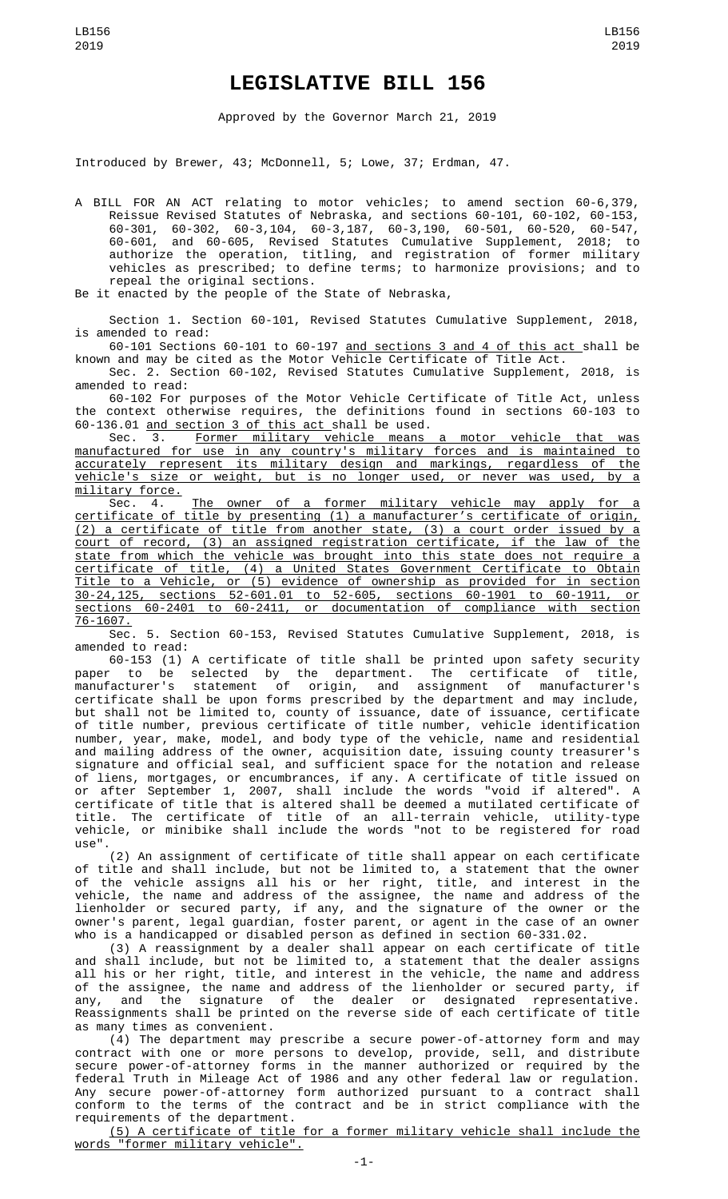## **LEGISLATIVE BILL 156**

Approved by the Governor March 21, 2019

Introduced by Brewer, 43; McDonnell, 5; Lowe, 37; Erdman, 47.

A BILL FOR AN ACT relating to motor vehicles; to amend section 60-6,379, Reissue Revised Statutes of Nebraska, and sections 60-101, 60-102, 60-153, 60-301, 60-302, 60-3,104, 60-3,187, 60-3,190, 60-501, 60-520, 60-547, 60-601, and 60-605, Revised Statutes Cumulative Supplement, 2018; to authorize the operation, titling, and registration of former military vehicles as prescribed; to define terms; to harmonize provisions; and to repeal the original sections.

Be it enacted by the people of the State of Nebraska,

Section 1. Section 60-101, Revised Statutes Cumulative Supplement, 2018, is amended to read:

60-101 Sections 60-101 to 60-197 and sections 3 and 4 of this act shall be known and may be cited as the Motor Vehicle Certificate of Title Act.

Sec. 2. Section 60-102, Revised Statutes Cumulative Supplement, 2018, is amended to read:

60-102 For purposes of the Motor Vehicle Certificate of Title Act, unless the context otherwise requires, the definitions found in sections 60-103 to 60-136.01 and section 3 of this act shall be used.

Sec. 3. Former military vehicle means a motor vehicle that was manufactured for use in any country's military forces and is maintained to accurately represent its military design and markings, regardless of the vehicle's size or weight, but is no longer used, or never was used, by a military force.

Sec. 4. <u>The owner of a former military vehicle may apply for a</u> certificate of title by presenting (1) a manufacturer's certificate of origin, (2) a certificate of title from another state, (3) a court order issued by a court of record, (3) an assigned registration certificate, if the law of the state from which the vehicle was brought into this state does not require a certificate of title, (4) a United States Government Certificate to Obtain Title to a Vehicle, or (5) evidence of ownership as provided for in section 30-24,125, sections 52-601.01 to 52-605, sections 60-1901 to 60-1911, or sections 60-2401 to 60-2411, or documentation of compliance with section 76-1607.

Sec. 5. Section 60-153, Revised Statutes Cumulative Supplement, 2018, is amended to read:

60-153 (1) A certificate of title shall be printed upon safety security paper to be selected by the department. The certificate of title, manufacturer's statement of origin, and assignment of manufacturer's certificate shall be upon forms prescribed by the department and may include, but shall not be limited to, county of issuance, date of issuance, certificate of title number, previous certificate of title number, vehicle identification number, year, make, model, and body type of the vehicle, name and residential and mailing address of the owner, acquisition date, issuing county treasurer's signature and official seal, and sufficient space for the notation and release of liens, mortgages, or encumbrances, if any. A certificate of title issued on or after September 1, 2007, shall include the words "void if altered". A certificate of title that is altered shall be deemed a mutilated certificate of title. The certificate of title of an all-terrain vehicle, utility-type vehicle, or minibike shall include the words "not to be registered for road use".

(2) An assignment of certificate of title shall appear on each certificate of title and shall include, but not be limited to, a statement that the owner of the vehicle assigns all his or her right, title, and interest in the vehicle, the name and address of the assignee, the name and address of the lienholder or secured party, if any, and the signature of the owner or the owner's parent, legal guardian, foster parent, or agent in the case of an owner who is a handicapped or disabled person as defined in section 60-331.02.

(3) A reassignment by a dealer shall appear on each certificate of title and shall include, but not be limited to, a statement that the dealer assigns all his or her right, title, and interest in the vehicle, the name and address of the assignee, the name and address of the lienholder or secured party, if any, and the signature of the dealer or designated representative. Reassignments shall be printed on the reverse side of each certificate of title as many times as convenient.

(4) The department may prescribe a secure power-of-attorney form and may contract with one or more persons to develop, provide, sell, and distribute secure power-of-attorney forms in the manner authorized or required by the federal Truth in Mileage Act of 1986 and any other federal law or regulation. Any secure power-of-attorney form authorized pursuant to a contract shall conform to the terms of the contract and be in strict compliance with the requirements of the department.

(5) A certificate of title for a former military vehicle shall include the words "former military vehicle".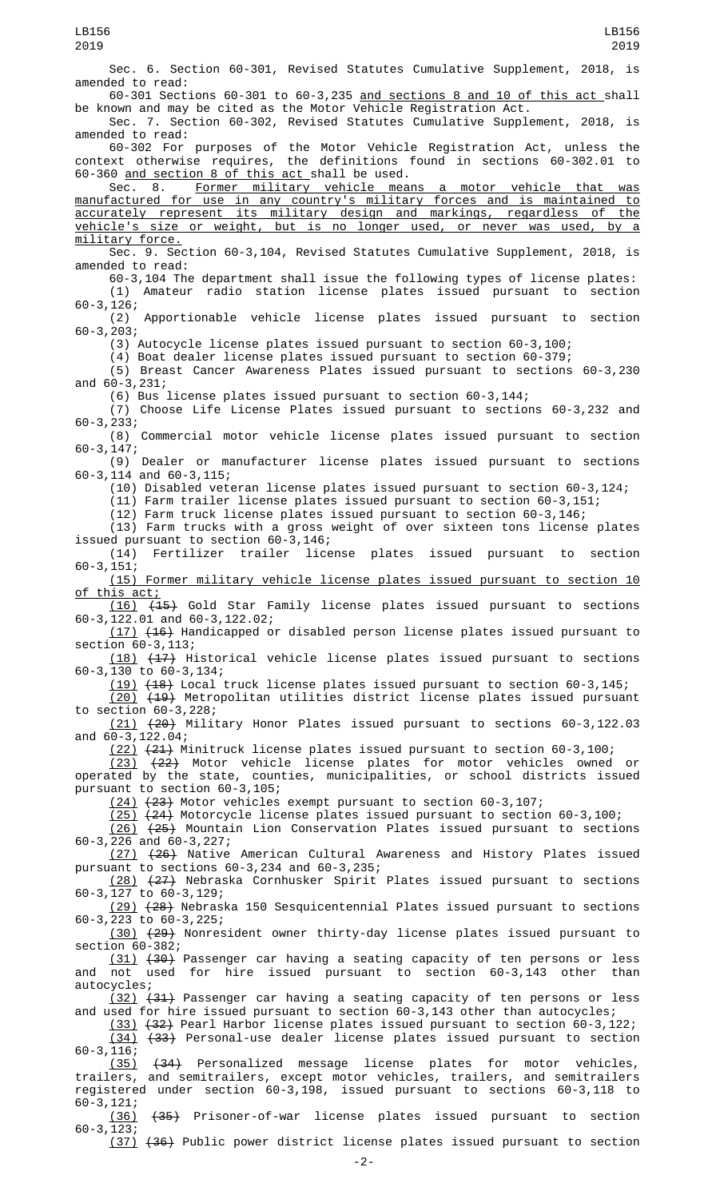Sec. 6. Section 60-301, Revised Statutes Cumulative Supplement, 2018, is amended to read:

60-301 Sections 60-301 to 60-3,235 and sections 8 and 10 of this act shall be known and may be cited as the Motor Vehicle Registration Act.

Sec. 7. Section 60-302, Revised Statutes Cumulative Supplement, 2018, is amended to read:

60-302 For purposes of the Motor Vehicle Registration Act, unless the context otherwise requires, the definitions found in sections 60-302.01 to 60-360 and section 8 of this act shall be used.

Sec. 8. Former military vehicle means a motor vehicle that was manufactured for use in any country's military forces and is maintained to accurately represent its military design and markings, regardless of the vehicle's size or weight, but is no longer used, or never was used, by a military force.

Sec. 9. Section 60-3,104, Revised Statutes Cumulative Supplement, 2018, is amended to read:

60-3,104 The department shall issue the following types of license plates: (1) Amateur radio station license plates issued pursuant to section 60-3,126;

(2) Apportionable vehicle license plates issued pursuant to section 60-3,203;

(3) Autocycle license plates issued pursuant to section 60-3,100;

(4) Boat dealer license plates issued pursuant to section 60-379;

(5) Breast Cancer Awareness Plates issued pursuant to sections 60-3,230 and 60-3,231;

(6) Bus license plates issued pursuant to section 60-3,144;

(7) Choose Life License Plates issued pursuant to sections 60-3,232 and 60-3,233;

(8) Commercial motor vehicle license plates issued pursuant to section 60-3,147;

(9) Dealer or manufacturer license plates issued pursuant to sections 60-3,114 and 60-3,115;

(10) Disabled veteran license plates issued pursuant to section 60-3,124;

(11) Farm trailer license plates issued pursuant to section 60-3,151;

(12) Farm truck license plates issued pursuant to section 60-3,146;

(13) Farm trucks with a gross weight of over sixteen tons license plates issued pursuant to section 60-3,146;<br>(14) Fertilizer trailer lice

license plates issued pursuant to section 60-3,151;

(15) Former military vehicle license plates issued pursuant to section 10 of this act;

(16) (15) Gold Star Family license plates issued pursuant to sections 60-3,122.01 and 60-3,122.02;

(17) (16) Handicapped or disabled person license plates issued pursuant to section 60-3, 113;

(18) (17) Historical vehicle license plates issued pursuant to sections 60-3,130 to 60-3,134;

(19) (18) Local truck license plates issued pursuant to section 60-3,145;  $(20)$   $(19)$  Metropolitan utilities district license plates issued pursuant

to section 60-3,228;

(21) (20) Military Honor Plates issued pursuant to sections 60-3,122.03 and  $60 - 3,122.04$ ;

(22) (21) Minitruck license plates issued pursuant to section 60-3,100;

(23) (22) Motor vehicle license plates for motor vehicles owned or operated by the state, counties, municipalities, or school districts issued pursuant to section 60-3,105;

(24) (23) Motor vehicles exempt pursuant to section 60-3,107;

 $(25)$   $(24)$  Motorcycle license plates issued pursuant to section 60-3,100;

(26) (25) Mountain Lion Conservation Plates issued pursuant to sections 60-3,226 and 60-3,227;

(27) (26) Native American Cultural Awareness and History Plates issued pursuant to sections 60-3,234 and 60-3,235;

(28) (27) Nebraska Cornhusker Spirit Plates issued pursuant to sections 60-3,127 to 60-3,129;

(29) (28) Nebraska 150 Sesquicentennial Plates issued pursuant to sections 60-3,223 to 60-3,225;

(30) (29) Nonresident owner thirty-day license plates issued pursuant to section 60-382;

(31) (30) Passenger car having a seating capacity of ten persons or less and not used for hire issued pursuant to section 60-3,143 other than autocycles;

(32) (31) Passenger car having a seating capacity of ten persons or less and used for hire issued pursuant to section 60-3,143 other than autocycles;

(33) (32) Pearl Harbor license plates issued pursuant to section 60-3,122; (34) (33) Personal-use dealer license plates issued pursuant to section 60-3,116;

(35) (34) Personalized message license plates for motor vehicles, trailers, and semitrailers, except motor vehicles, trailers, and semitrailers registered under section 60-3,198, issued pursuant to sections 60-3,118 to 60-3,121;

(36) (35) Prisoner-of-war license plates issued pursuant to section 60-3,123;

(37) (36) Public power district license plates issued pursuant to section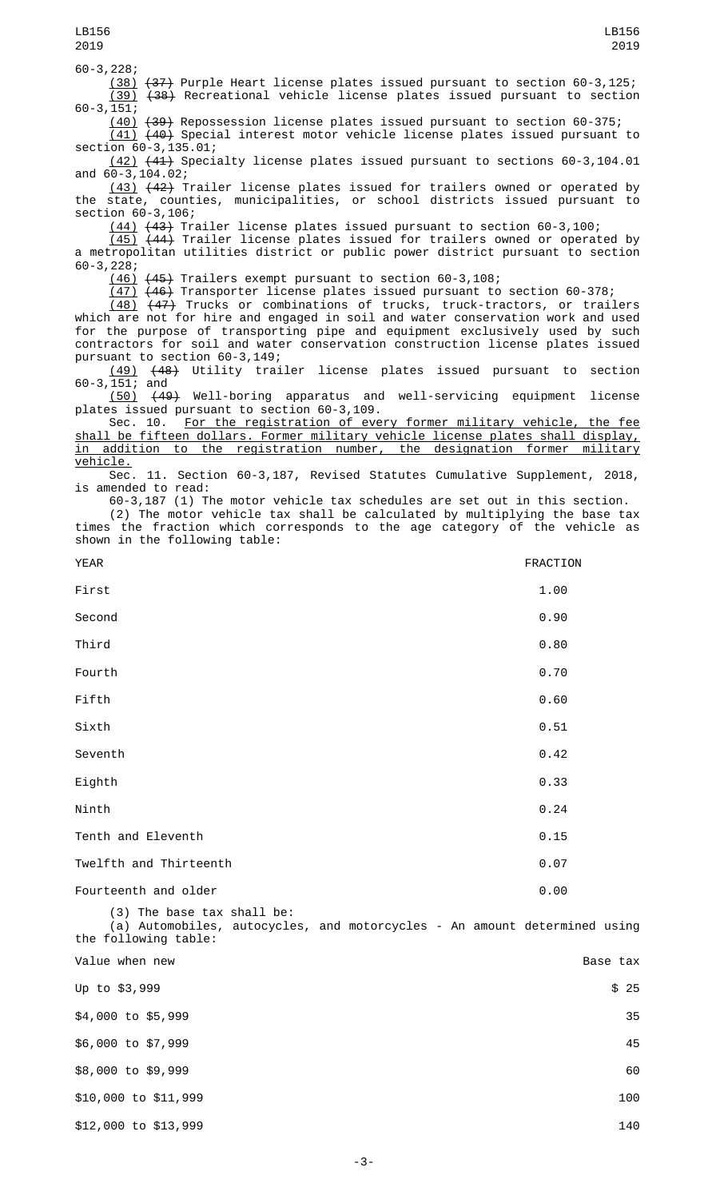60-3,228;

(38) (37) Purple Heart license plates issued pursuant to section 60-3,125; (39) (38) Recreational vehicle license plates issued pursuant to section 60-3,151;

(40) (39) Repossession license plates issued pursuant to section 60-375; (41) (40) Special interest motor vehicle license plates issued pursuant to

 $\overline{\phantom{0}}$  section  $\overline{60}$ -3, 135.01; (42) (41) Specialty license plates issued pursuant to sections 60-3,104.01 and 60-3,104.02;

(43) (42) Trailer license plates issued for trailers owned or operated by the state, counties, municipalities, or school districts issued pursuant to section 60-3,106;

(44) (43) Trailer license plates issued pursuant to section 60-3,100;

(45) (44) Trailer license plates issued for trailers owned or operated by a metropolitan utilities district or public power district pursuant to section 60-3,228;

(46) (45) Trailers exempt pursuant to section 60-3,108;

(47) (46) Transporter license plates issued pursuant to section 60-378;

(48) (47) Trucks or combinations of trucks, truck-tractors, or trailers which are not for hire and engaged in soil and water conservation work and used for the purpose of transporting pipe and equipment exclusively used by such contractors for soil and water conservation construction license plates issued pursuant to section 60-3,149;

(49) (48) Utility trailer license plates issued pursuant to section 60-3,151; and

(50) (49) Well-boring apparatus and well-servicing equipment license plates issued pursuant to section 60-3,109.<br>Sec. 10. For the registration of eve

For the registration of every former military vehicle, the fee shall be fifteen dollars. Former military vehicle license plates shall display,<br>in addition to the registration number, the designation former military in addition to the registration number, the designation former military vehicle.

Sec. 11. Section 60-3,187, Revised Statutes Cumulative Supplement, 2018, is amended to read:

60-3,187 (1) The motor vehicle tax schedules are set out in this section.

(2) The motor vehicle tax shall be calculated by multiplying the base tax times the fraction which corresponds to the age category of the vehicle as shown in the following table:

| <b>YEAR</b>            | FRACTION |
|------------------------|----------|
| First                  | 1.00     |
| Second                 | 0.90     |
| Third                  | 0.80     |
| Fourth                 | 0.70     |
| Fifth                  | 0.60     |
| Sixth                  | 0.51     |
| Seventh                | 0.42     |
| Eighth                 | 0.33     |
| Ninth                  | 0.24     |
| Tenth and Eleventh     | 0.15     |
| Twelfth and Thirteenth | 0.07     |
| Fourteenth and older   | 0.00     |

(3) The base tax shall be: (a) Automobiles, autocycles, and motorcycles - An amount determined using the following table: Value when new  $\qquad$ Up to  $\$3,999$   $\$25$  $$4,000$  to  $$5,999$  35 \$6,000 to \$7,999 45 \$8,000 to \$9,999 60 \$10,000 to \$11,999 100 \$12,000 to \$13,999 140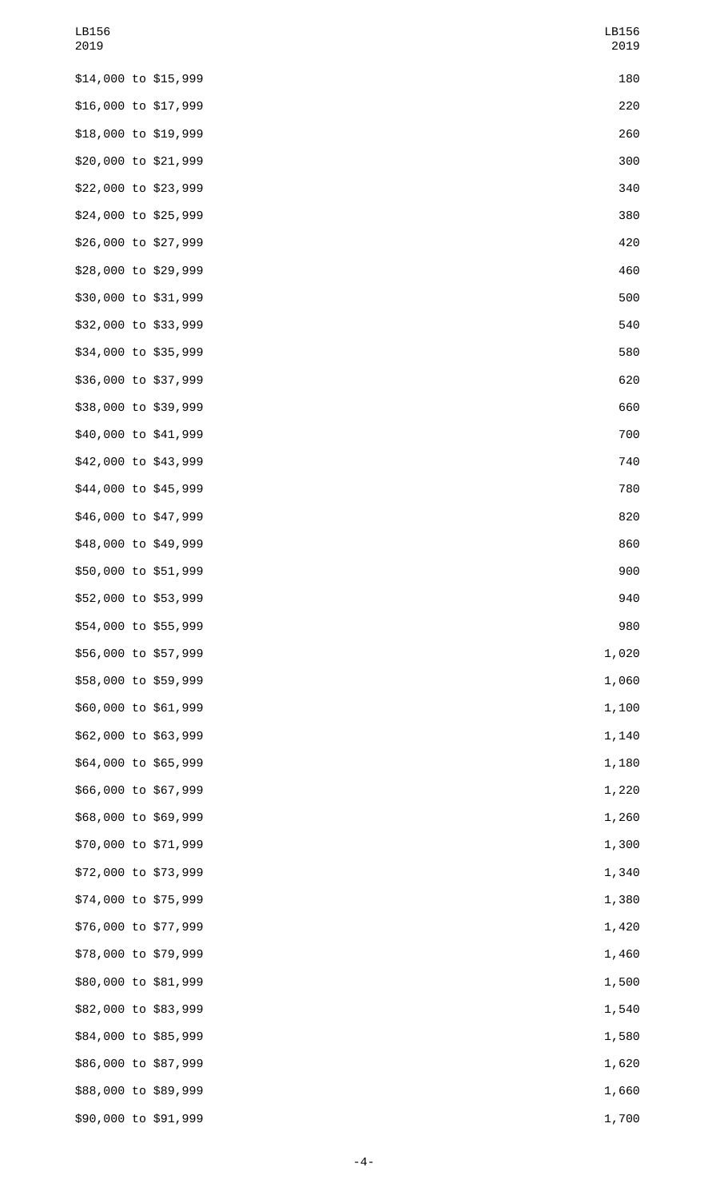| LB156<br>2019        |  | LB156<br>2019 |
|----------------------|--|---------------|
| \$14,000 to \$15,999 |  | 180           |
| \$16,000 to \$17,999 |  | 220           |
| \$18,000 to \$19,999 |  | 260           |
| \$20,000 to \$21,999 |  | 300           |
| \$22,000 to \$23,999 |  | 340           |
| \$24,000 to \$25,999 |  | 380           |
| \$26,000 to \$27,999 |  | 420           |
| \$28,000 to \$29,999 |  | 460           |
| \$30,000 to \$31,999 |  | 500           |
| \$32,000 to \$33,999 |  | 540           |
| \$34,000 to \$35,999 |  | 580           |
| \$36,000 to \$37,999 |  | 620           |
| \$38,000 to \$39,999 |  | 660           |
| \$40,000 to \$41,999 |  | 700           |
| \$42,000 to \$43,999 |  | 740           |
| \$44,000 to \$45,999 |  | 780           |
| \$46,000 to \$47,999 |  | 820           |
| \$48,000 to \$49,999 |  | 860           |
| \$50,000 to \$51,999 |  | 900           |
| \$52,000 to \$53,999 |  | 940           |
| \$54,000 to \$55,999 |  | 980           |
| \$56,000 to \$57,999 |  | 1,020         |
| \$58,000 to \$59,999 |  | 1,060         |
| \$60,000 to \$61,999 |  | 1,100         |
| \$62,000 to \$63,999 |  | 1,140         |
| \$64,000 to \$65,999 |  | 1,180         |
| \$66,000 to \$67,999 |  | 1,220         |
| \$68,000 to \$69,999 |  | 1,260         |
| \$70,000 to \$71,999 |  | 1,300         |
| \$72,000 to \$73,999 |  | 1,340         |
| \$74,000 to \$75,999 |  | 1,380         |
| \$76,000 to \$77,999 |  | 1,420         |
| \$78,000 to \$79,999 |  | 1,460         |
| \$80,000 to \$81,999 |  | 1,500         |
| \$82,000 to \$83,999 |  | 1,540         |
| \$84,000 to \$85,999 |  | 1,580         |
| \$86,000 to \$87,999 |  | 1,620         |
| \$88,000 to \$89,999 |  | 1,660         |
| \$90,000 to \$91,999 |  | 1,700         |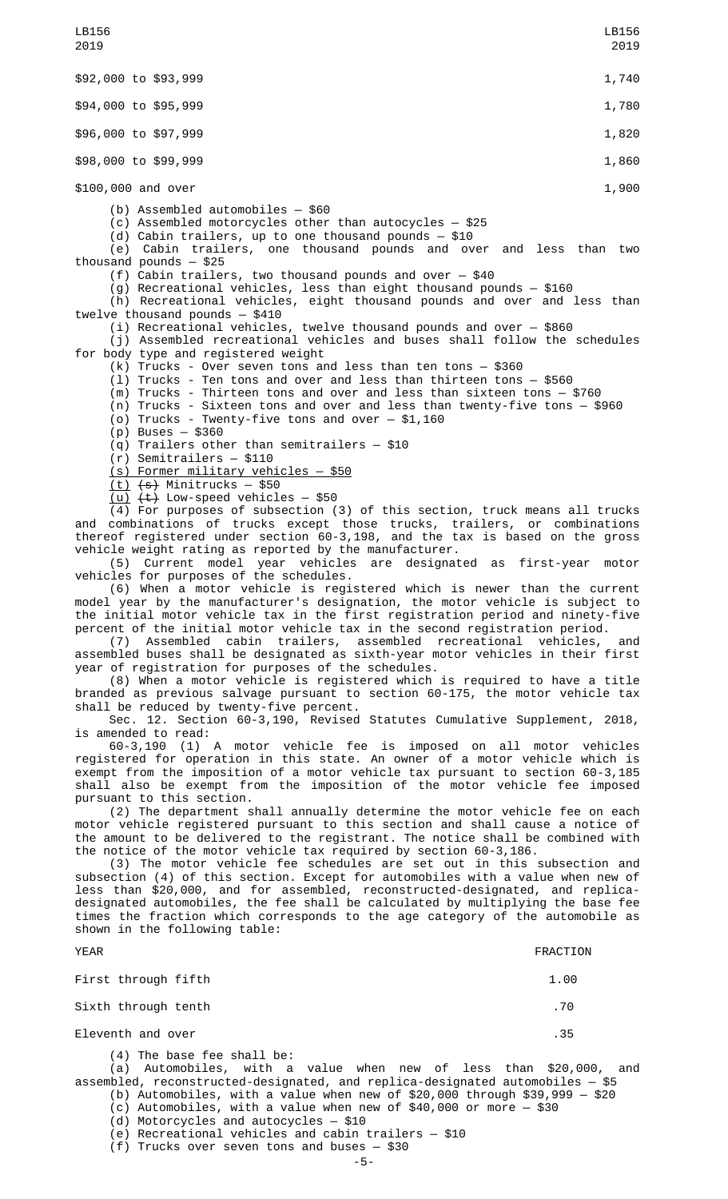\$92,000 to \$93,999 1,740 and \$92,000 to \$93,999 1,740 and \$92,000 to \$93,999 1,740 \$94,000 to \$95,999 1,780 1,780 1,780 1,780 1,780 1,780 1,000 1,000 1,000 1,000 1,000 1,000 1,000 1,000 1,000 1 \$96,000 to \$97,999 1,820 1,820 1,820 1,820 1,820 1,820 1,820 1,820 1,820 1,820 1,820 1,820 1,820 1,820 1,820 1,820 1,820 1,820 1,820 1,820 1,820 1,820 1,820 1,820 1,820 1,820 1,820 1,820 1,820 1,820 1,820 1,820 1,820 1,820 \$98,000 to \$99,999 1,860 \$100,000 and over 1,900 (b) Assembled automobiles — \$60 (c) Assembled motorcycles other than autocycles — \$25 (d) Cabin trailers, up to one thousand pounds — \$10 (e) Cabin trailers, one thousand pounds and over and less than two thousand pounds — \$25 (f) Cabin trailers, two thousand pounds and over — \$40 (g) Recreational vehicles, less than eight thousand pounds — \$160 (h) Recreational vehicles, eight thousand pounds and over and less than twelve thousand pounds — \$410 (i) Recreational vehicles, twelve thousand pounds and over — \$860 (j) Assembled recreational vehicles and buses shall follow the schedules for body type and registered weight (k) Trucks - Over seven tons and less than ten tons — \$360  $(1)$  Trucks - Ten tons and over and less than thirteen tons  $-$  \$560 (m) Trucks - Thirteen tons and over and less than sixteen tons — \$760 (n) Trucks - Sixteen tons and over and less than twenty-five tons — \$960  $(0)$  Trucks - Twenty-five tons and over  $-$  \$1,160 (p) Buses — \$360 (q) Trailers other than semitrailers — \$10 (r) Semitrailers — \$110 (s) Former military vehicles — \$50 <u>(t)</u> <del>(s)</del> Minitrucks — \$50  $(u)$   $(t)$  Low-speed vehicles - \$50 (4) For purposes of subsection (3) of this section, truck means all trucks and combinations of trucks except those trucks, trailers, or combinations thereof registered under section 60-3,198, and the tax is based on the gross vehicle weight rating as reported by the manufacturer. (5) Current model year vehicles are designated as first-year motor vehicles for purposes of the schedules. (6) When a motor vehicle is registered which is newer than the current model year by the manufacturer's designation, the motor vehicle is subject to the initial motor vehicle tax in the first registration period and ninety-five percent of the initial motor vehicle tax in the second registration period. (7) Assembled cabin trailers, assembled recreational vehicles, and assembled buses shall be designated as sixth-year motor vehicles in their first year of registration for purposes of the schedules. (8) When a motor vehicle is registered which is required to have a title branded as previous salvage pursuant to section 60-175, the motor vehicle tax shall be reduced by twenty-five percent. Sec. 12. Section 60-3,190, Revised Statutes Cumulative Supplement, 2018, is amended to read: 60-3,190 (1) A motor vehicle fee is imposed on all motor vehicles registered for operation in this state. An owner of a motor vehicle which is exempt from the imposition of a motor vehicle tax pursuant to section 60-3,185 shall also be exempt from the imposition of the motor vehicle fee imposed pursuant to this section. (2) The department shall annually determine the motor vehicle fee on each motor vehicle registered pursuant to this section and shall cause a notice of the amount to be delivered to the registrant. The notice shall be combined with the notice of the motor vehicle tax required by section 60-3,186. (3) The motor vehicle fee schedules are set out in this subsection and subsection (4) of this section. Except for automobiles with a value when new of less than \$20,000, and for assembled, reconstructed-designated, and replicadesignated automobiles, the fee shall be calculated by multiplying the base fee times the fraction which corresponds to the age category of the automobile as shown in the following table: LB156 2019 LB156 2019

| First through fifth        | 1.00 |
|----------------------------|------|
| Sixth through tenth        | .70  |
| Eleventh and over          | . 35 |
| (4) The base fee shall be: |      |

YEAR FRACTION

(a) Automobiles, with a value when new of less than \$20,000, and assembled, reconstructed-designated, and replica-designated automobiles — \$5 (b) Automobiles, with a value when new of \$20,000 through \$39,999 — \$20

(c) Automobiles, with a value when new of \$40,000 or more — \$30

(d) Motorcycles and autocycles — \$10

(e) Recreational vehicles and cabin trailers — \$10

 $(f)$  Trucks over seven tons and buses  $-$  \$30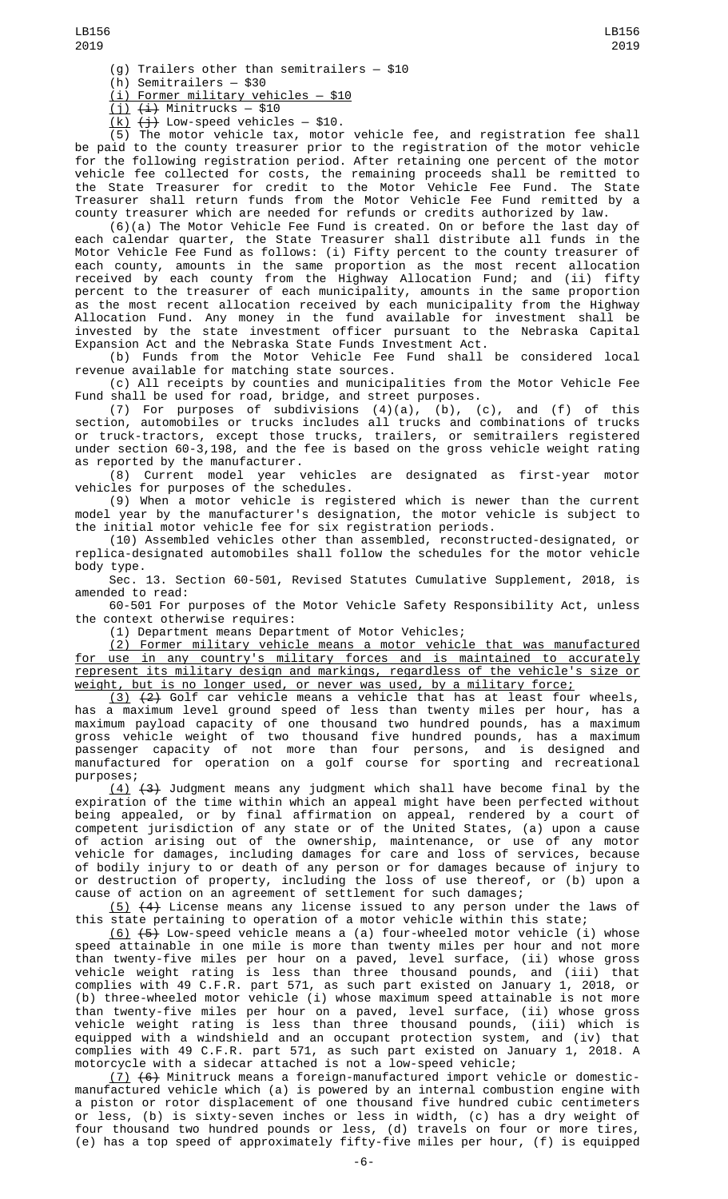(h) Semitrailers — \$30

 $(i)$  Former military vehicles  $-$  \$10

 $(i)$   $(i)$  Minitrucks  $-$  \$10

<u>(k)</u> <del>(j)</del> Low-speed vehicles — \$10.

(5) The motor vehicle tax, motor vehicle fee, and registration fee shall be paid to the county treasurer prior to the registration of the motor vehicle for the following registration period. After retaining one percent of the motor vehicle fee collected for costs, the remaining proceeds shall be remitted to the State Treasurer for credit to the Motor Vehicle Fee Fund. The State Treasurer shall return funds from the Motor Vehicle Fee Fund remitted by a county treasurer which are needed for refunds or credits authorized by law.

(6)(a) The Motor Vehicle Fee Fund is created. On or before the last day of each calendar quarter, the State Treasurer shall distribute all funds in the Motor Vehicle Fee Fund as follows: (i) Fifty percent to the county treasurer of each county, amounts in the same proportion as the most recent allocation received by each county from the Highway Allocation Fund; and (ii) fifty percent to the treasurer of each municipality, amounts in the same proportion as the most recent allocation received by each municipality from the Highway Allocation Fund. Any money in the fund available for investment shall be invested by the state investment officer pursuant to the Nebraska Capital Expansion Act and the Nebraska State Funds Investment Act.

(b) Funds from the Motor Vehicle Fee Fund shall be considered local revenue available for matching state sources.

(c) All receipts by counties and municipalities from the Motor Vehicle Fee Fund shall be used for road, bridge, and street purposes.

(7) For purposes of subdivisions  $(4)(a)$ ,  $(b)$ ,  $(c)$ , and  $(f)$  of this section, automobiles or trucks includes all trucks and combinations of trucks or truck-tractors, except those trucks, trailers, or semitrailers registered under section 60-3,198, and the fee is based on the gross vehicle weight rating as reported by the manufacturer.

(8) Current model year vehicles are designated as first-year motor vehicles for purposes of the schedules.

(9) When a motor vehicle is registered which is newer than the current model year by the manufacturer's designation, the motor vehicle is subject to the initial motor vehicle fee for six registration periods.

(10) Assembled vehicles other than assembled, reconstructed-designated, or replica-designated automobiles shall follow the schedules for the motor vehicle body type.

Sec. 13. Section 60-501, Revised Statutes Cumulative Supplement, 2018, is amended to read:

60-501 For purposes of the Motor Vehicle Safety Responsibility Act, unless the context otherwise requires:

(1) Department means Department of Motor Vehicles;

(2) Former military vehicle means a motor vehicle that was manufactured for use in any country's military forces and is maintained to accurately represent its military design and markings, regardless of the vehicle's size or weight, but is no longer used, or never was used, by a military force;

 $(3)$   $(2)$  Golf car vehicle means a vehicle that has at least four wheels, has a maximum level ground speed of less than twenty miles per hour, has a maximum payload capacity of one thousand two hundred pounds, has a maximum gross vehicle weight of two thousand five hundred pounds, has a maximum passenger capacity of not more than four persons, and is designed and manufactured for operation on a golf course for sporting and recreational purposes;

(4) (3) Judgment means any judgment which shall have become final by the expiration of the time within which an appeal might have been perfected without being appealed, or by final affirmation on appeal, rendered by a court of competent jurisdiction of any state or of the United States, (a) upon a cause of action arising out of the ownership, maintenance, or use of any motor vehicle for damages, including damages for care and loss of services, because of bodily injury to or death of any person or for damages because of injury to or destruction of property, including the loss of use thereof, or (b) upon a cause of action on an agreement of settlement for such damages;

(5) (4) License means any license issued to any person under the laws of this state pertaining to operation of a motor vehicle within this state;

 $(6)$   $(5)$  Low-speed vehicle means a (a) four-wheeled motor vehicle (i) whose speed attainable in one mile is more than twenty miles per hour and not more than twenty-five miles per hour on a paved, level surface, (ii) whose gross vehicle weight rating is less than three thousand pounds, and (iii) that complies with 49 C.F.R. part 571, as such part existed on January 1, 2018, or (b) three-wheeled motor vehicle (i) whose maximum speed attainable is not more than twenty-five miles per hour on a paved, level surface, (ii) whose gross vehicle weight rating is less than three thousand pounds, (iii) which is equipped with a windshield and an occupant protection system, and (iv) that complies with 49 C.F.R. part 571, as such part existed on January 1, 2018. A motorcycle with a sidecar attached is not a low-speed vehicle;

(7) (6) Minitruck means a foreign-manufactured import vehicle or domesticmanufactured vehicle which (a) is powered by an internal combustion engine with a piston or rotor displacement of one thousand five hundred cubic centimeters or less, (b) is sixty-seven inches or less in width, (c) has a dry weight of four thousand two hundred pounds or less, (d) travels on four or more tires, (e) has a top speed of approximately fifty-five miles per hour, (f) is equipped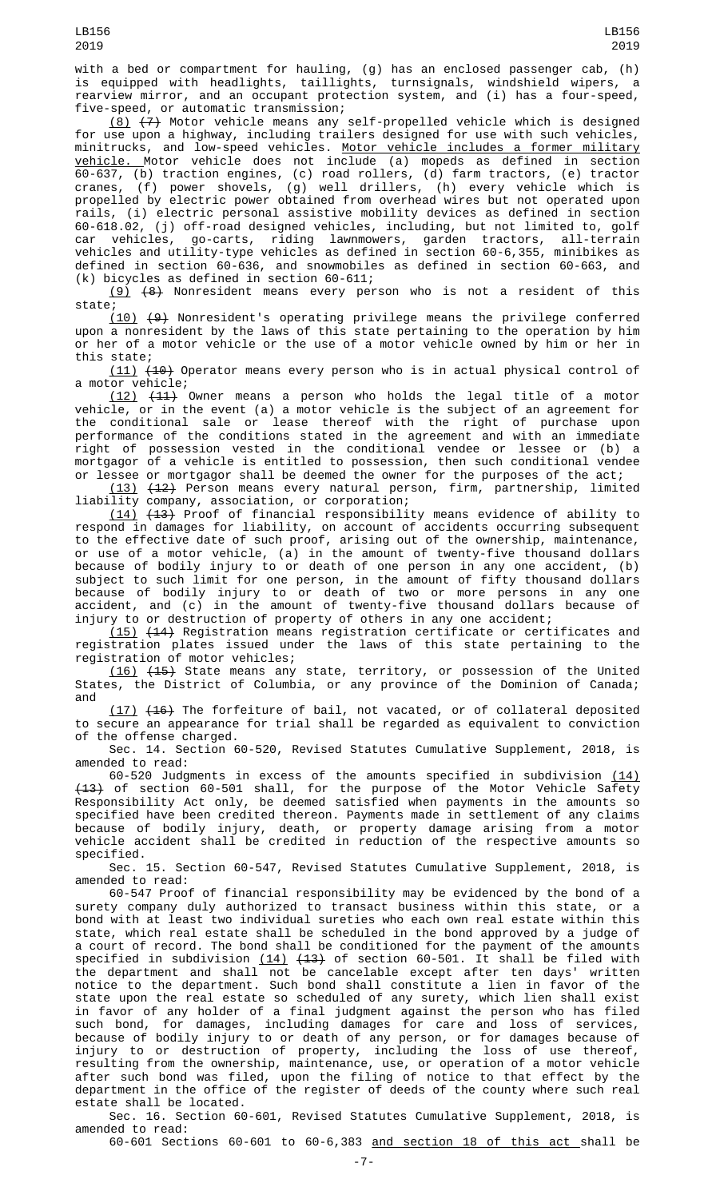with a bed or compartment for hauling, (g) has an enclosed passenger cab, (h) is equipped with headlights, taillights, turnsignals, windshield wipers, a rearview mirror, and an occupant protection system, and (i) has a four-speed, five-speed, or automatic transmission;

(8) (7) Motor vehicle means any self-propelled vehicle which is designed for use upon a highway, including trailers designed for use with such vehicles, minitrucks, and low-speed vehicles. Motor vehicle includes a former military vehicle. Motor vehicle does not include (a) mopeds as defined in section 60-637, (b) traction engines, (c) road rollers, (d) farm tractors, (e) tractor cranes, (f) power shovels, (g) well drillers, (h) every vehicle which is propelled by electric power obtained from overhead wires but not operated upon rails, (i) electric personal assistive mobility devices as defined in section 60-618.02, (j) off-road designed vehicles, including, but not limited to, golf car vehicles, go-carts, riding lawnmowers, garden tractors, all-terrain vehicles and utility-type vehicles as defined in section 60-6,355, minibikes as defined in section 60-636, and snowmobiles as defined in section 60-663, and (k) bicycles as defined in section 60-611;

 $(9)$   $(8)$  Nonresident means every person who is not a resident of this state;

 $(10)$   $(9)$  Nonresident's operating privilege means the privilege conferred upon a nonresident by the laws of this state pertaining to the operation by him or her of a motor vehicle or the use of a motor vehicle owned by him or her in this state;

(11) (10) Operator means every person who is in actual physical control of a motor vehicle;

(12) (11) Owner means a person who holds the legal title of a motor vehicle, or in the event (a) a motor vehicle is the subject of an agreement for the conditional sale or lease thereof with the right of purchase upon performance of the conditions stated in the agreement and with an immediate right of possession vested in the conditional vendee or lessee or (b) a mortgagor of a vehicle is entitled to possession, then such conditional vendee or lessee or mortgagor shall be deemed the owner for the purposes of the act;

(13) (12) Person means every natural person, firm, partnership, limited liability company, association, or corporation;

(14) (13) Proof of financial responsibility means evidence of ability to respond in damages for liability, on account of accidents occurring subsequent to the effective date of such proof, arising out of the ownership, maintenance, or use of a motor vehicle, (a) in the amount of twenty-five thousand dollars because of bodily injury to or death of one person in any one accident, (b) subject to such limit for one person, in the amount of fifty thousand dollars because of bodily injury to or death of two or more persons in any one accident, and (c) in the amount of twenty-five thousand dollars because of injury to or destruction of property of others in any one accident;

(15) (14) Registration means registration certificate or certificates and registration plates issued under the laws of this state pertaining to the registration of motor vehicles;

(16) (15) State means any state, territory, or possession of the United States, the District of Columbia, or any province of the Dominion of Canada; and

(17) (16) The forfeiture of bail, not vacated, or of collateral deposited to secure an appearance for trial shall be regarded as equivalent to conviction of the offense charged.

Sec. 14. Section 60-520, Revised Statutes Cumulative Supplement, 2018, is amended to read:

60-520 Judgments in excess of the amounts specified in subdivision  $(14)$ <del>(13)</del> of section 60-501 shall, for the purpose of the Motor Vehicle Safety Responsibility Act only, be deemed satisfied when payments in the amounts so specified have been credited thereon. Payments made in settlement of any claims because of bodily injury, death, or property damage arising from a motor vehicle accident shall be credited in reduction of the respective amounts so specified.

Sec. 15. Section 60-547, Revised Statutes Cumulative Supplement, 2018, is amended to read:

60-547 Proof of financial responsibility may be evidenced by the bond of a surety company duly authorized to transact business within this state, or a bond with at least two individual sureties who each own real estate within this state, which real estate shall be scheduled in the bond approved by a judge of a court of record. The bond shall be conditioned for the payment of the amounts specified in subdivision <u>(14)</u> <del>(13)</del> of section 60-501. It shall be filed with the department and shall not be cancelable except after ten days' written notice to the department. Such bond shall constitute a lien in favor of the state upon the real estate so scheduled of any surety, which lien shall exist in favor of any holder of a final judgment against the person who has filed such bond, for damages, including damages for care and loss of services, because of bodily injury to or death of any person, or for damages because of injury to or destruction of property, including the loss of use thereof, resulting from the ownership, maintenance, use, or operation of a motor vehicle after such bond was filed, upon the filing of notice to that effect by the department in the office of the register of deeds of the county where such real estate shall be located.

Sec. 16. Section 60-601, Revised Statutes Cumulative Supplement, 2018, is amended to read:

60-601 Sections 60-601 to 60-6,383 and section 18 of this act shall be